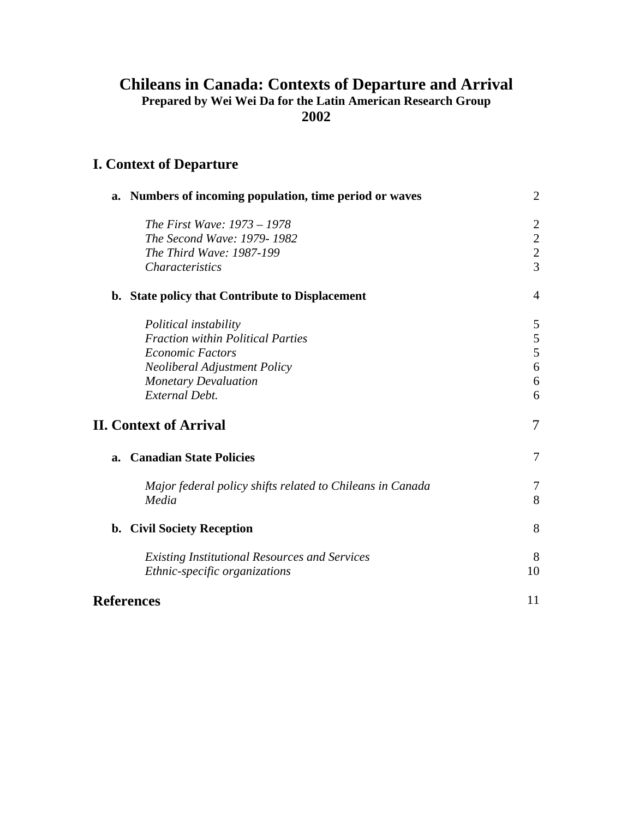# **Chileans in Canada: Contexts of Departure and Arrival Prepared by Wei Wei Da for the Latin American Research Group 2002**

# **I. Context of Departure**

| a. | Numbers of incoming population, time period or waves                                  | $\overline{2}$ |
|----|---------------------------------------------------------------------------------------|----------------|
|    | The First Wave: 1973 – 1978                                                           | $\overline{2}$ |
|    | The Second Wave: 1979-1982                                                            | $\overline{c}$ |
|    | The Third Wave: 1987-199                                                              | $\frac{2}{3}$  |
|    | <b>Characteristics</b>                                                                |                |
|    | b. State policy that Contribute to Displacement                                       | $\overline{4}$ |
|    | Political instability                                                                 | 5              |
|    | <b>Fraction within Political Parties</b>                                              | $\mathfrak{S}$ |
|    | <b>Economic Factors</b>                                                               | 5              |
|    | <b>Neoliberal Adjustment Policy</b>                                                   | 6              |
|    | <b>Monetary Devaluation</b>                                                           | 6              |
|    | <b>External Debt.</b>                                                                 | 6              |
|    | <b>II. Context of Arrival</b>                                                         | 7              |
| a. | <b>Canadian State Policies</b>                                                        | $\tau$         |
|    | Major federal policy shifts related to Chileans in Canada<br>Media                    | 7<br>8         |
|    | b. Civil Society Reception                                                            | 8              |
|    | <b>Existing Institutional Resources and Services</b><br>Ethnic-specific organizations | 8<br>10        |
|    | <b>References</b>                                                                     | 11             |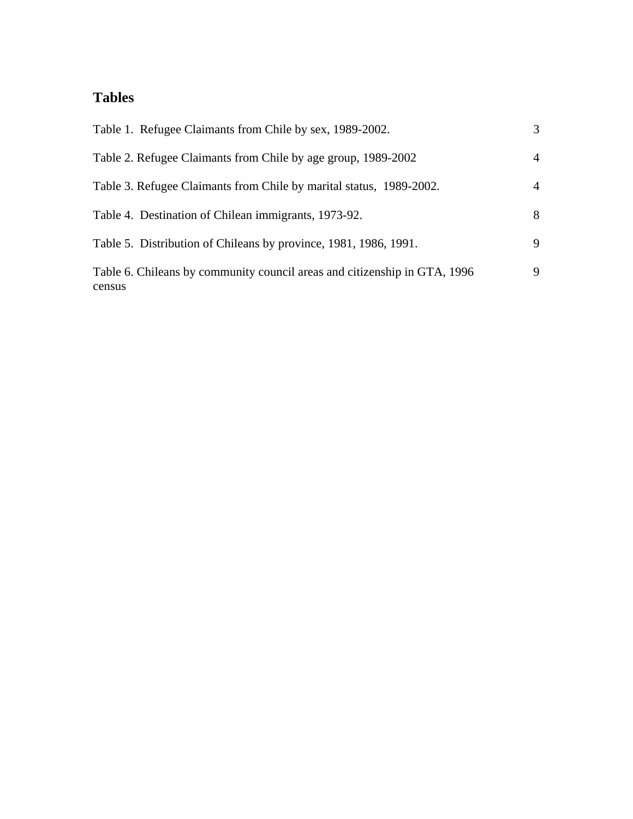# **Tables**

| 3              |
|----------------|
| $\overline{4}$ |
| $\overline{4}$ |
| 8              |
| 9              |
| 9              |
|                |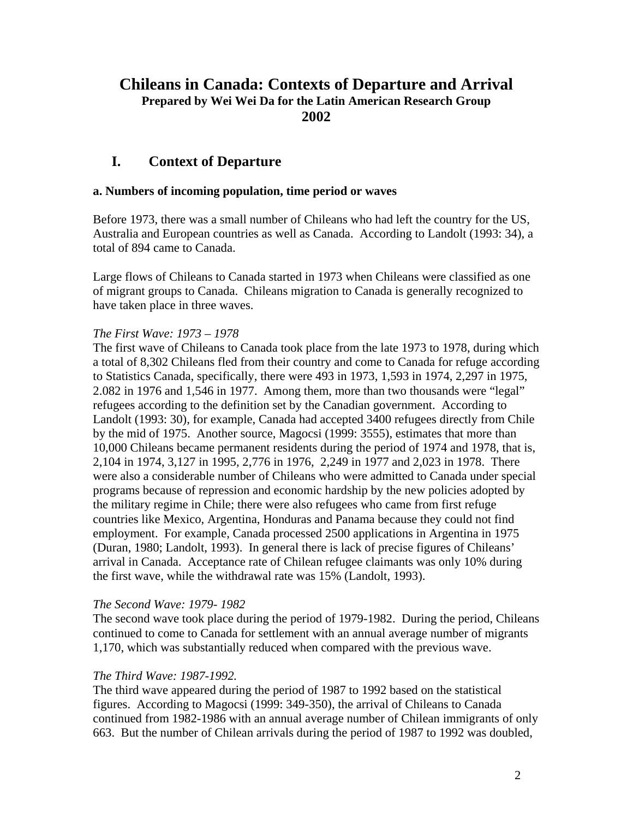# **Chileans in Canada: Contexts of Departure and Arrival Prepared by Wei Wei Da for the Latin American Research Group 2002**

# **I. Context of Departure**

#### **a. Numbers of incoming population, time period or waves**

Before 1973, there was a small number of Chileans who had left the country for the US, Australia and European countries as well as Canada. According to Landolt (1993: 34), a total of 894 came to Canada.

Large flows of Chileans to Canada started in 1973 when Chileans were classified as one of migrant groups to Canada. Chileans migration to Canada is generally recognized to have taken place in three waves.

### *The First Wave: 1973 – 1978*

The first wave of Chileans to Canada took place from the late 1973 to 1978, during which a total of 8,302 Chileans fled from their country and come to Canada for refuge according to Statistics Canada, specifically, there were 493 in 1973, 1,593 in 1974, 2,297 in 1975, 2.082 in 1976 and 1,546 in 1977. Among them, more than two thousands were "legal" refugees according to the definition set by the Canadian government. According to Landolt (1993: 30), for example, Canada had accepted 3400 refugees directly from Chile by the mid of 1975. Another source, Magocsi (1999: 3555), estimates that more than 10,000 Chileans became permanent residents during the period of 1974 and 1978, that is, 2,104 in 1974, 3,127 in 1995, 2,776 in 1976, 2,249 in 1977 and 2,023 in 1978. There were also a considerable number of Chileans who were admitted to Canada under special programs because of repression and economic hardship by the new policies adopted by the military regime in Chile; there were also refugees who came from first refuge countries like Mexico, Argentina, Honduras and Panama because they could not find employment. For example, Canada processed 2500 applications in Argentina in 1975 (Duran, 1980; Landolt, 1993). In general there is lack of precise figures of Chileans' arrival in Canada. Acceptance rate of Chilean refugee claimants was only 10% during the first wave, while the withdrawal rate was 15% (Landolt, 1993).

#### *The Second Wave: 1979- 1982*

The second wave took place during the period of 1979-1982. During the period, Chileans continued to come to Canada for settlement with an annual average number of migrants 1,170, which was substantially reduced when compared with the previous wave.

#### *The Third Wave: 1987-1992.*

The third wave appeared during the period of 1987 to 1992 based on the statistical figures. According to Magocsi (1999: 349-350), the arrival of Chileans to Canada continued from 1982-1986 with an annual average number of Chilean immigrants of only 663. But the number of Chilean arrivals during the period of 1987 to 1992 was doubled,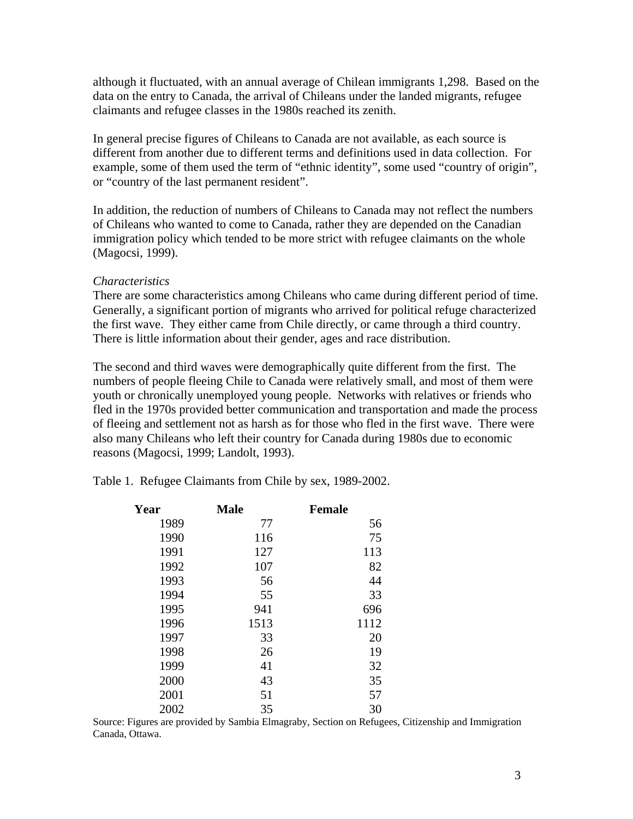although it fluctuated, with an annual average of Chilean immigrants 1,298. Based on the data on the entry to Canada, the arrival of Chileans under the landed migrants, refugee claimants and refugee classes in the 1980s reached its zenith.

In general precise figures of Chileans to Canada are not available, as each source is different from another due to different terms and definitions used in data collection. For example, some of them used the term of "ethnic identity", some used "country of origin", or "country of the last permanent resident".

In addition, the reduction of numbers of Chileans to Canada may not reflect the numbers of Chileans who wanted to come to Canada, rather they are depended on the Canadian immigration policy which tended to be more strict with refugee claimants on the whole (Magocsi, 1999).

#### *Characteristics*

There are some characteristics among Chileans who came during different period of time. Generally, a significant portion of migrants who arrived for political refuge characterized the first wave. They either came from Chile directly, or came through a third country. There is little information about their gender, ages and race distribution.

The second and third waves were demographically quite different from the first. The numbers of people fleeing Chile to Canada were relatively small, and most of them were youth or chronically unemployed young people. Networks with relatives or friends who fled in the 1970s provided better communication and transportation and made the process of fleeing and settlement not as harsh as for those who fled in the first wave. There were also many Chileans who left their country for Canada during 1980s due to economic reasons (Magocsi, 1999; Landolt, 1993).

|  |  | Table 1. Refugee Claimants from Chile by sex, 1989-2002. |  |
|--|--|----------------------------------------------------------|--|
|  |  |                                                          |  |

| Year | <b>Male</b> | <b>Female</b> |
|------|-------------|---------------|
| 1989 | 77          | 56            |
| 1990 | 116         | 75            |
| 1991 | 127         | 113           |
| 1992 | 107         | 82            |
| 1993 | 56          | 44            |
| 1994 | 55          | 33            |
| 1995 | 941         | 696           |
| 1996 | 1513        | 1112          |
| 1997 | 33          | 20            |
| 1998 | 26          | 19            |
| 1999 | 41          | 32            |
| 2000 | 43          | 35            |
| 2001 | 51          | 57            |
| 2002 | 35          | 30            |

Source: Figures are provided by Sambia Elmagraby, Section on Refugees, Citizenship and Immigration Canada, Ottawa.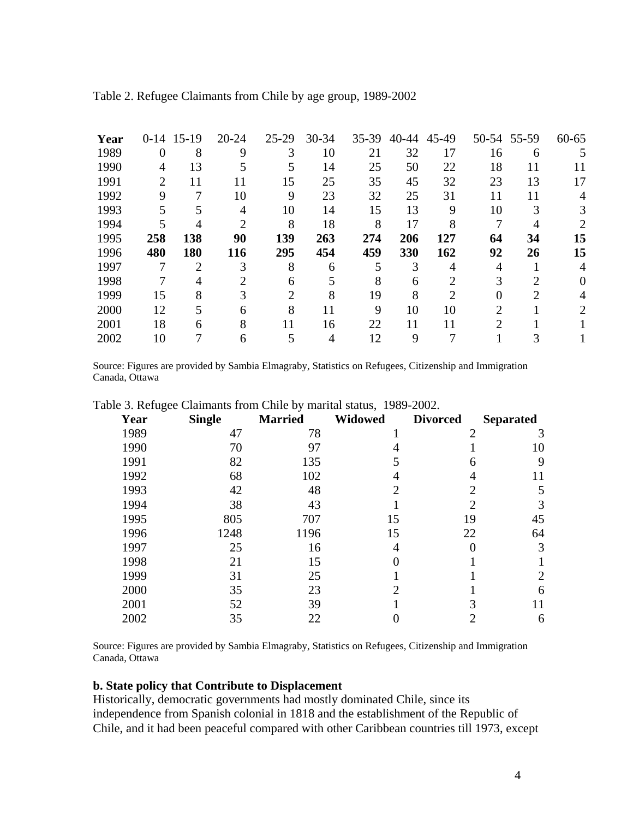| Year | $0-14$ | $15-19$ | $20 - 24$ | $25-29$ | $30 - 34$ | 35-39 | 40-44 | 45-49 |    | 50-54 55-59 | $60 - 65$ |
|------|--------|---------|-----------|---------|-----------|-------|-------|-------|----|-------------|-----------|
| 1989 | 0      | 8       | 9         |         | 10        | 21    | 32    | 17    | 16 | 6           | 5         |
| 1990 | 4      | 13      |           |         | 14        | 25    | 50    | 22    | 18 | 11          |           |
| 1991 | 2      | 11      | 11        | 15      | 25        | 35    | 45    | 32    | 23 | 13          | 17        |
| 1992 | 9      |         | 10        | 9       | 23        | 32    | 25    | 31    | 11 | 11          |           |
| 1993 |        |         |           | 10      | 14        | 15    | 13    | 9     | 10 |             |           |
| 1994 |        | 4       |           | 8       | 18        | 8     | 17    | 8     |    |             |           |
| 1995 | 258    | 138     | 90        | 139     | 263       | 274   | 206   | 127   | 64 | 34          | 15        |
| 1996 | 480    | 180     | 116       | 295     | 454       | 459   | 330   | 162   | 92 | 26          | 15        |
| 1997 |        | ↑       |           | 8       | 6         |       | 3     |       | 4  |             |           |
| 1998 |        |         |           | 6       | 5         |       | 6     |       |    |             |           |
| 1999 | 15     | 8       |           | 2       | 8         | 19    | 8     | 2     |    | ∍           |           |
| 2000 | 12     |         | 6         | 8       | 11        | 9     | 10    | 10    |    |             |           |
| 2001 | 18     | 6       | 8         | 11      | 16        | 22    | 11    | 11    |    |             |           |
| 2002 | 10     |         | 6         |         | 4         | 12    | 9     |       |    |             |           |
|      |        |         |           |         |           |       |       |       |    |             |           |

|  |  |  | Table 2. Refugee Claimants from Chile by age group, 1989-2002 |
|--|--|--|---------------------------------------------------------------|
|  |  |  |                                                               |

Source: Figures are provided by Sambia Elmagraby, Statistics on Refugees, Citizenship and Immigration Canada, Ottawa

| ັ<br>Year | <b>Single</b> | <b>Married</b> | <b>Widowed</b>              | <b>Divorced</b> | <b>Separated</b> |
|-----------|---------------|----------------|-----------------------------|-----------------|------------------|
| 1989      | 47            | 78             |                             | 2               |                  |
| 1990      | 70            | 97             |                             |                 | 10               |
| 1991      | 82            | 135            |                             | 6               | 9                |
| 1992      | 68            | 102            |                             |                 | 11               |
| 1993      | 42            | 48             | $\overline{2}$              | $\overline{2}$  | 5                |
| 1994      | 38            | 43             |                             | $\overline{2}$  |                  |
| 1995      | 805           | 707            | 15                          | 19              | 45               |
| 1996      | 1248          | 1196           | 15                          | 22              | 64               |
| 1997      | 25            | 16             | 4                           |                 | 3                |
| 1998      | 21            | 15             |                             |                 |                  |
| 1999      | 31            | 25             |                             |                 | 2                |
| 2000      | 35            | 23             | $\mathcal{D}_{\mathcal{L}}$ |                 | 6                |
| 2001      | 52            | 39             |                             |                 |                  |
| 2002      | 35            | 22             |                             |                 | 6                |

Table 3. Refugee Claimants from Chile by marital status, 1989-2002.

Source: Figures are provided by Sambia Elmagraby, Statistics on Refugees, Citizenship and Immigration Canada, Ottawa

### **b. State policy that Contribute to Displacement**

Historically, democratic governments had mostly dominated Chile, since its independence from Spanish colonial in 1818 and the establishment of the Republic of Chile, and it had been peaceful compared with other Caribbean countries till 1973, except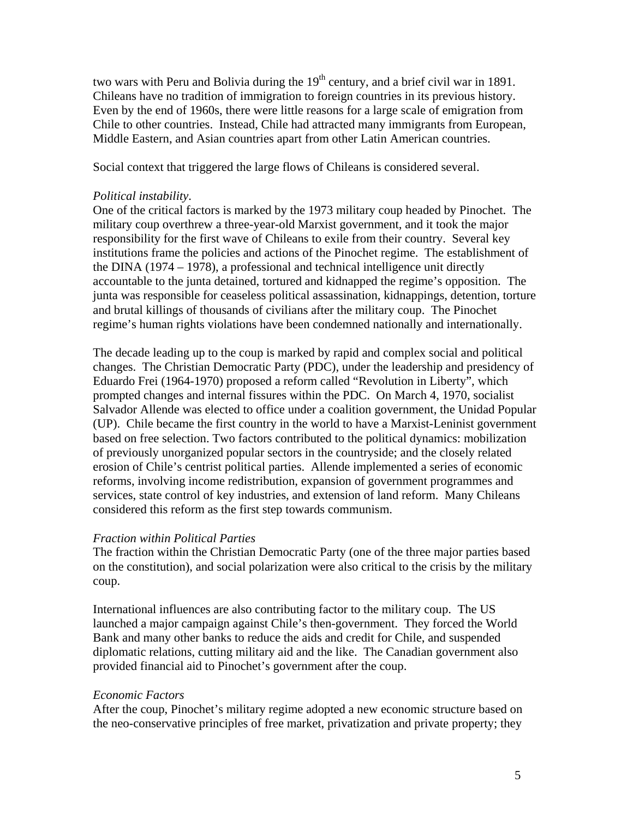two wars with Peru and Bolivia during the  $19<sup>th</sup>$  century, and a brief civil war in 1891. Chileans have no tradition of immigration to foreign countries in its previous history. Even by the end of 1960s, there were little reasons for a large scale of emigration from Chile to other countries. Instead, Chile had attracted many immigrants from European, Middle Eastern, and Asian countries apart from other Latin American countries.

Social context that triggered the large flows of Chileans is considered several.

#### *Political instability*.

One of the critical factors is marked by the 1973 military coup headed by Pinochet. The military coup overthrew a three-year-old Marxist government, and it took the major responsibility for the first wave of Chileans to exile from their country. Several key institutions frame the policies and actions of the Pinochet regime. The establishment of the DINA (1974 – 1978), a professional and technical intelligence unit directly accountable to the junta detained, tortured and kidnapped the regime's opposition. The junta was responsible for ceaseless political assassination, kidnappings, detention, torture and brutal killings of thousands of civilians after the military coup. The Pinochet regime's human rights violations have been condemned nationally and internationally.

The decade leading up to the coup is marked by rapid and complex social and political changes. The Christian Democratic Party (PDC), under the leadership and presidency of Eduardo Frei (1964-1970) proposed a reform called "Revolution in Liberty", which prompted changes and internal fissures within the PDC. On March 4, 1970, socialist Salvador Allende was elected to office under a coalition government, the Unidad Popular (UP). Chile became the first country in the world to have a Marxist-Leninist government based on free selection. Two factors contributed to the political dynamics: mobilization of previously unorganized popular sectors in the countryside; and the closely related erosion of Chile's centrist political parties. Allende implemented a series of economic reforms, involving income redistribution, expansion of government programmes and services, state control of key industries, and extension of land reform. Many Chileans considered this reform as the first step towards communism.

#### *Fraction within Political Parties*

The fraction within the Christian Democratic Party (one of the three major parties based on the constitution), and social polarization were also critical to the crisis by the military coup.

International influences are also contributing factor to the military coup. The US launched a major campaign against Chile's then-government. They forced the World Bank and many other banks to reduce the aids and credit for Chile, and suspended diplomatic relations, cutting military aid and the like. The Canadian government also provided financial aid to Pinochet's government after the coup.

#### *Economic Factors*

After the coup, Pinochet's military regime adopted a new economic structure based on the neo-conservative principles of free market, privatization and private property; they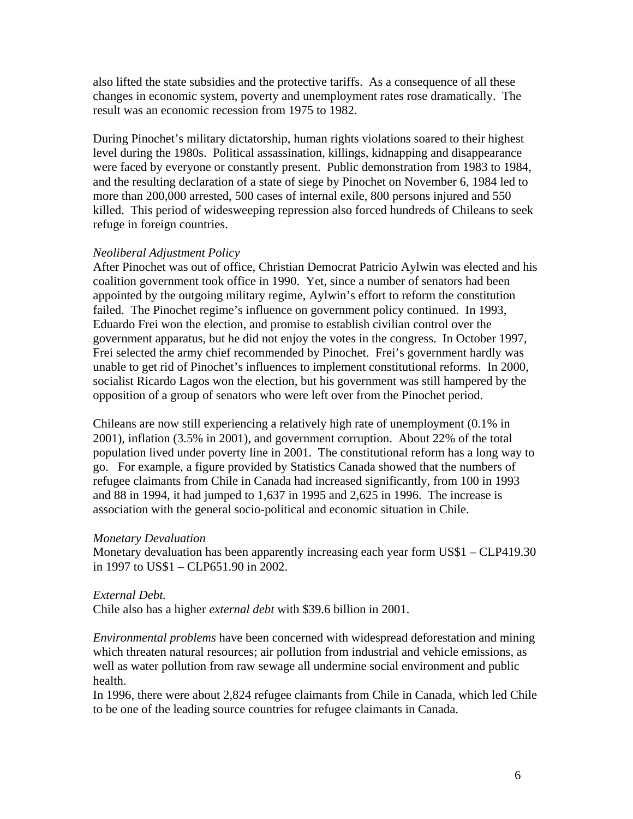also lifted the state subsidies and the protective tariffs. As a consequence of all these changes in economic system, poverty and unemployment rates rose dramatically. The result was an economic recession from 1975 to 1982.

During Pinochet's military dictatorship, human rights violations soared to their highest level during the 1980s. Political assassination, killings, kidnapping and disappearance were faced by everyone or constantly present. Public demonstration from 1983 to 1984, and the resulting declaration of a state of siege by Pinochet on November 6, 1984 led to more than 200,000 arrested, 500 cases of internal exile, 800 persons injured and 550 killed. This period of widesweeping repression also forced hundreds of Chileans to seek refuge in foreign countries.

#### *Neoliberal Adjustment Policy*

After Pinochet was out of office, Christian Democrat Patricio Aylwin was elected and his coalition government took office in 1990. Yet, since a number of senators had been appointed by the outgoing military regime, Aylwin's effort to reform the constitution failed. The Pinochet regime's influence on government policy continued. In 1993, Eduardo Frei won the election, and promise to establish civilian control over the government apparatus, but he did not enjoy the votes in the congress. In October 1997, Frei selected the army chief recommended by Pinochet. Frei's government hardly was unable to get rid of Pinochet's influences to implement constitutional reforms. In 2000, socialist Ricardo Lagos won the election, but his government was still hampered by the opposition of a group of senators who were left over from the Pinochet period.

Chileans are now still experiencing a relatively high rate of unemployment (0.1% in 2001), inflation (3.5% in 2001), and government corruption. About 22% of the total population lived under poverty line in 2001. The constitutional reform has a long way to go. For example, a figure provided by Statistics Canada showed that the numbers of refugee claimants from Chile in Canada had increased significantly, from 100 in 1993 and 88 in 1994, it had jumped to 1,637 in 1995 and 2,625 in 1996. The increase is association with the general socio-political and economic situation in Chile.

#### *Monetary Devaluation*

Monetary devaluation has been apparently increasing each year form US\$1 – CLP419.30 in 1997 to US\$1 – CLP651.90 in 2002.

#### *External Debt.*

Chile also has a higher *external debt* with \$39.6 billion in 2001.

*Environmental problems* have been concerned with widespread deforestation and mining which threaten natural resources; air pollution from industrial and vehicle emissions, as well as water pollution from raw sewage all undermine social environment and public health.

In 1996, there were about 2,824 refugee claimants from Chile in Canada, which led Chile to be one of the leading source countries for refugee claimants in Canada.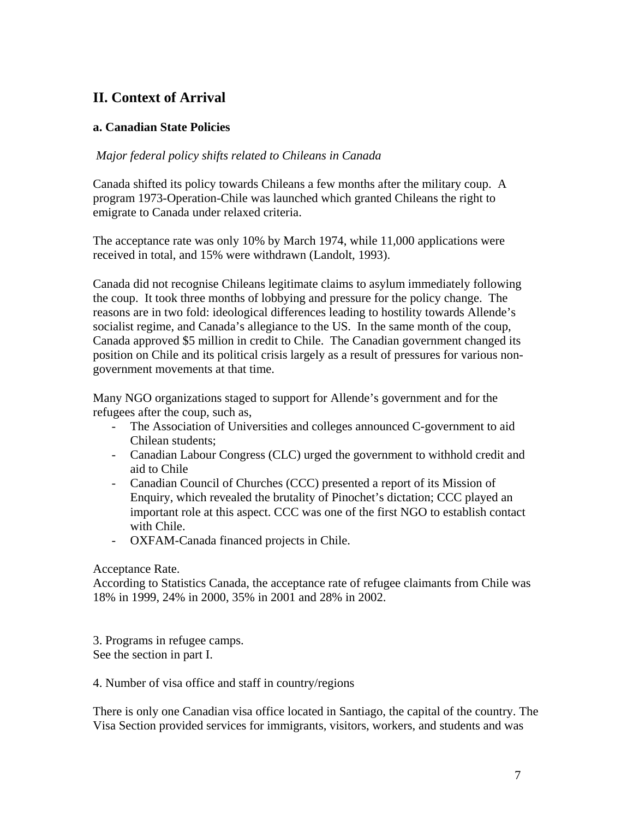# **II. Context of Arrival**

## **a. Canadian State Policies**

### *Major federal policy shifts related to Chileans in Canada*

Canada shifted its policy towards Chileans a few months after the military coup. A program 1973-Operation-Chile was launched which granted Chileans the right to emigrate to Canada under relaxed criteria.

The acceptance rate was only 10% by March 1974, while 11,000 applications were received in total, and 15% were withdrawn (Landolt, 1993).

Canada did not recognise Chileans legitimate claims to asylum immediately following the coup. It took three months of lobbying and pressure for the policy change. The reasons are in two fold: ideological differences leading to hostility towards Allende's socialist regime, and Canada's allegiance to the US. In the same month of the coup, Canada approved \$5 million in credit to Chile. The Canadian government changed its position on Chile and its political crisis largely as a result of pressures for various nongovernment movements at that time.

Many NGO organizations staged to support for Allende's government and for the refugees after the coup, such as,

- The Association of Universities and colleges announced C-government to aid Chilean students;
- Canadian Labour Congress (CLC) urged the government to withhold credit and aid to Chile
- Canadian Council of Churches (CCC) presented a report of its Mission of Enquiry, which revealed the brutality of Pinochet's dictation; CCC played an important role at this aspect. CCC was one of the first NGO to establish contact with Chile.
- OXFAM-Canada financed projects in Chile.

#### Acceptance Rate.

According to Statistics Canada, the acceptance rate of refugee claimants from Chile was 18% in 1999, 24% in 2000, 35% in 2001 and 28% in 2002.

3. Programs in refugee camps. See the section in part I.

4. Number of visa office and staff in country/regions

There is only one Canadian visa office located in Santiago, the capital of the country. The Visa Section provided services for immigrants, visitors, workers, and students and was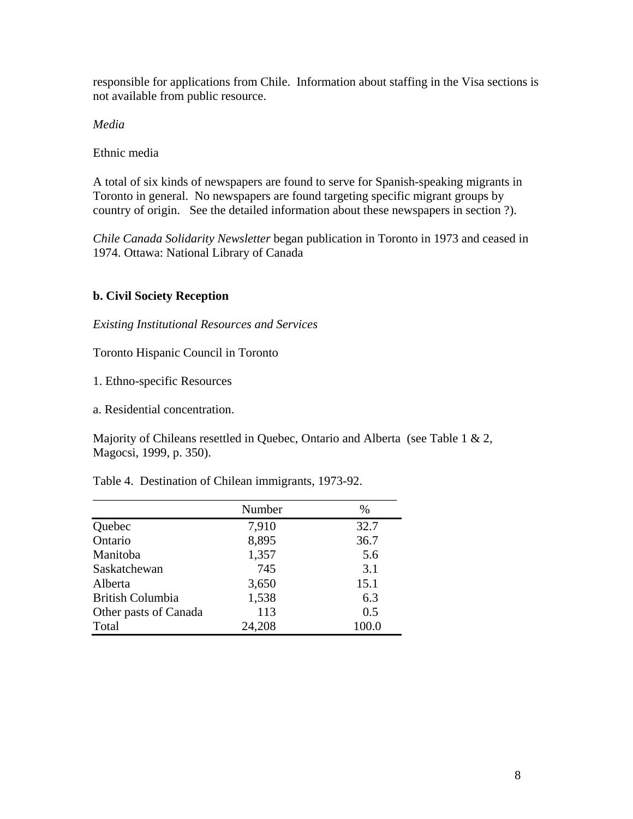responsible for applications from Chile. Information about staffing in the Visa sections is not available from public resource.

*Media* 

Ethnic media

A total of six kinds of newspapers are found to serve for Spanish-speaking migrants in Toronto in general. No newspapers are found targeting specific migrant groups by country of origin. See the detailed information about these newspapers in section ?).

*Chile Canada Solidarity Newsletter* began publication in Toronto in 1973 and ceased in 1974. Ottawa: National Library of Canada

# **b. Civil Society Reception**

*Existing Institutional Resources and Services* 

Toronto Hispanic Council in Toronto

1. Ethno-specific Resources

a. Residential concentration.

Majority of Chileans resettled in Quebec, Ontario and Alberta (see Table 1 & 2, Magocsi, 1999, p. 350).

Table 4. Destination of Chilean immigrants, 1973-92.

|                         | Number | %     |
|-------------------------|--------|-------|
| Quebec                  | 7,910  | 32.7  |
| Ontario                 | 8,895  | 36.7  |
| Manitoba                | 1,357  | 5.6   |
| Saskatchewan            | 745    | 3.1   |
| Alberta                 | 3,650  | 15.1  |
| <b>British Columbia</b> | 1,538  | 6.3   |
| Other pasts of Canada   | 113    | 0.5   |
| Total                   | 24,208 | 100.0 |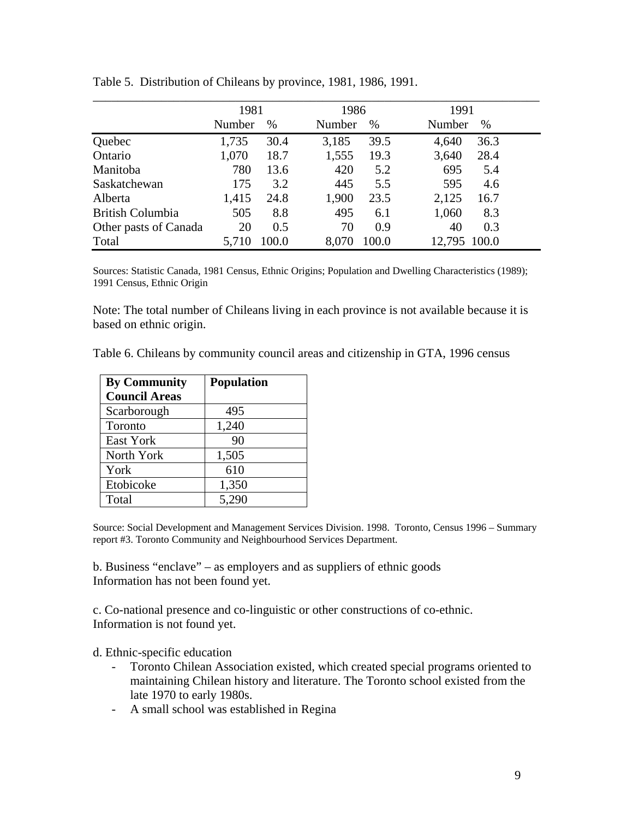|                         | 1981   |       | 1986   |       | 1991   |       |
|-------------------------|--------|-------|--------|-------|--------|-------|
|                         | Number | $\%$  | Number | $\%$  | Number | $\%$  |
| Quebec                  | 1,735  | 30.4  | 3,185  | 39.5  | 4,640  | 36.3  |
| Ontario                 | 1,070  | 18.7  | 1,555  | 19.3  | 3,640  | 28.4  |
| <b>Manitoba</b>         | 780    | 13.6  | 420    | 5.2   | 695    | 5.4   |
| Saskatchewan            | 175    | 3.2   | 445    | 5.5   | 595    | 4.6   |
| Alberta                 | 1,415  | 24.8  | 1,900  | 23.5  | 2,125  | 16.7  |
| <b>British Columbia</b> | 505    | 8.8   | 495    | 6.1   | 1,060  | 8.3   |
| Other pasts of Canada   | 20     | 0.5   | 70     | 0.9   | 40     | 0.3   |
| Total                   | 5,710  | 100.0 | 8,070  | 100.0 | 12,795 | 100.0 |

Table 5. Distribution of Chileans by province, 1981, 1986, 1991.

Sources: Statistic Canada, 1981 Census, Ethnic Origins; Population and Dwelling Characteristics (1989); 1991 Census, Ethnic Origin

Note: The total number of Chileans living in each province is not available because it is based on ethnic origin.

|  |  |  |  | Table 6. Chileans by community council areas and citizenship in GTA, 1996 census |  |  |  |
|--|--|--|--|----------------------------------------------------------------------------------|--|--|--|
|--|--|--|--|----------------------------------------------------------------------------------|--|--|--|

| <b>By Community</b><br><b>Council Areas</b> | <b>Population</b> |
|---------------------------------------------|-------------------|
| Scarborough                                 | 495               |
| Toronto                                     | 1,240             |
| East York                                   | 90                |
| North York                                  | 1,505             |
| York                                        | 610               |
| Etobicoke                                   | 1,350             |
| Total                                       | 5,290             |

Source: Social Development and Management Services Division. 1998. Toronto, Census 1996 – Summary report #3. Toronto Community and Neighbourhood Services Department.

b. Business "enclave" – as employers and as suppliers of ethnic goods Information has not been found yet.

c. Co-national presence and co-linguistic or other constructions of co-ethnic. Information is not found yet.

d. Ethnic-specific education

- Toronto Chilean Association existed, which created special programs oriented to maintaining Chilean history and literature. The Toronto school existed from the late 1970 to early 1980s.
- A small school was established in Regina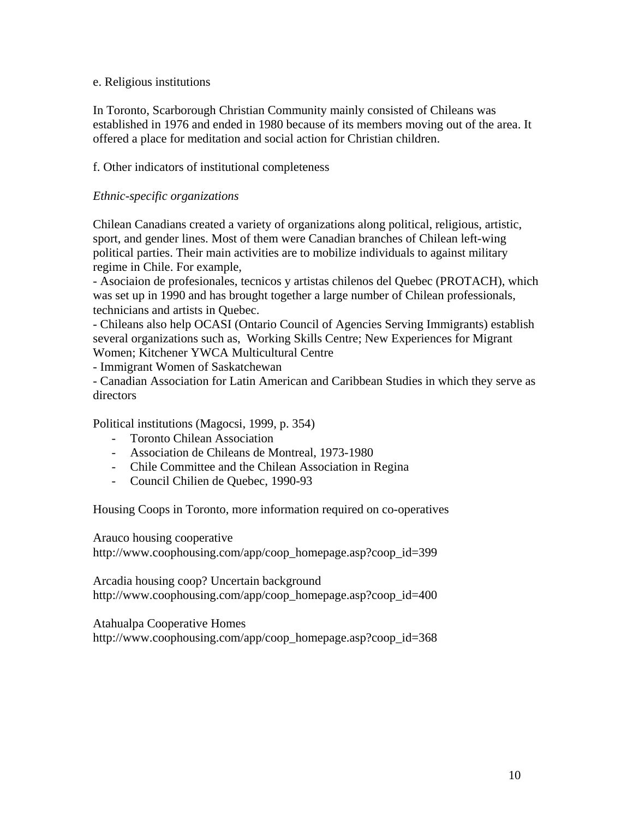#### e. Religious institutions

In Toronto, Scarborough Christian Community mainly consisted of Chileans was established in 1976 and ended in 1980 because of its members moving out of the area. It offered a place for meditation and social action for Christian children.

## f. Other indicators of institutional completeness

## *Ethnic-specific organizations*

Chilean Canadians created a variety of organizations along political, religious, artistic, sport, and gender lines. Most of them were Canadian branches of Chilean left-wing political parties. Their main activities are to mobilize individuals to against military regime in Chile. For example,

- Asociaion de profesionales, tecnicos y artistas chilenos del Quebec (PROTACH), which was set up in 1990 and has brought together a large number of Chilean professionals, technicians and artists in Quebec.

- Chileans also help OCASI (Ontario Council of Agencies Serving Immigrants) establish several organizations such as, Working Skills Centre; New Experiences for Migrant Women; Kitchener YWCA Multicultural Centre

- Immigrant Women of Saskatchewan

- Canadian Association for Latin American and Caribbean Studies in which they serve as directors

Political institutions (Magocsi, 1999, p. 354)

- Toronto Chilean Association
- Association de Chileans de Montreal, 1973-1980
- Chile Committee and the Chilean Association in Regina
- Council Chilien de Quebec, 1990-93

Housing Coops in Toronto, more information required on co-operatives

Arauco housing cooperative

http://www.coophousing.com/app/coop\_homepage.asp?coop\_id=399

Arcadia housing coop? Uncertain background http://www.coophousing.com/app/coop\_homepage.asp?coop\_id=400

Atahualpa Cooperative Homes http://www.coophousing.com/app/coop\_homepage.asp?coop\_id=368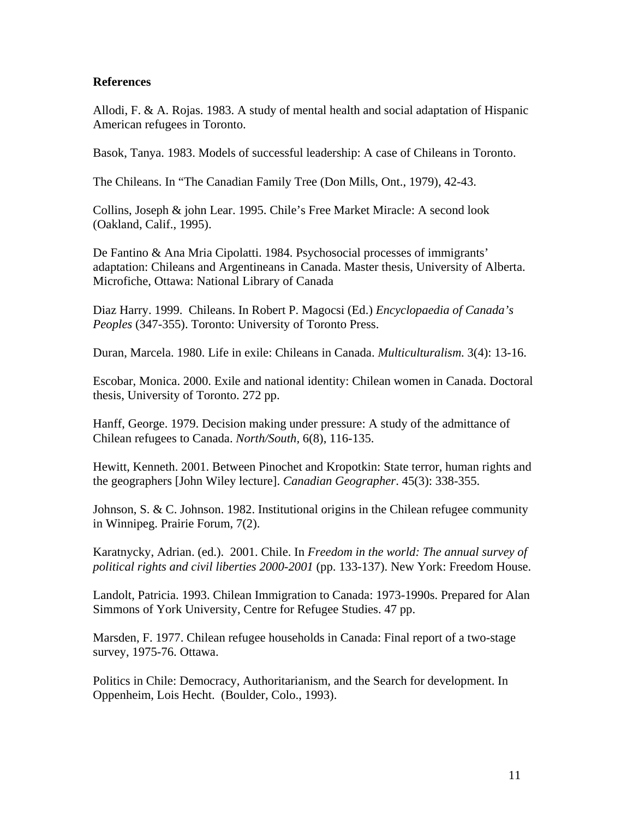#### **References**

Allodi, F. & A. Rojas. 1983. A study of mental health and social adaptation of Hispanic American refugees in Toronto.

Basok, Tanya. 1983. Models of successful leadership: A case of Chileans in Toronto.

The Chileans. In "The Canadian Family Tree (Don Mills, Ont., 1979), 42-43.

Collins, Joseph & john Lear. 1995. Chile's Free Market Miracle: A second look (Oakland, Calif., 1995).

De Fantino & Ana Mria Cipolatti. 1984. Psychosocial processes of immigrants' adaptation: Chileans and Argentineans in Canada. Master thesis, University of Alberta. Microfiche, Ottawa: National Library of Canada

Diaz Harry. 1999. Chileans. In Robert P. Magocsi (Ed.) *Encyclopaedia of Canada's Peoples* (347-355). Toronto: University of Toronto Press.

Duran, Marcela. 1980. Life in exile: Chileans in Canada. *Multiculturalism*. 3(4): 13-16.

Escobar, Monica. 2000. Exile and national identity: Chilean women in Canada. Doctoral thesis, University of Toronto. 272 pp.

Hanff, George. 1979. Decision making under pressure: A study of the admittance of Chilean refugees to Canada. *North/South,* 6(8), 116-135.

Hewitt, Kenneth. 2001. Between Pinochet and Kropotkin: State terror, human rights and the geographers [John Wiley lecture]. *Canadian Geographer*. 45(3): 338-355.

Johnson, S. & C. Johnson. 1982. Institutional origins in the Chilean refugee community in Winnipeg. Prairie Forum, 7(2).

Karatnycky, Adrian. (ed.). 2001. Chile. In *Freedom in the world: The annual survey of political rights and civil liberties 2000-2001* (pp. 133-137). New York: Freedom House.

Landolt, Patricia. 1993. Chilean Immigration to Canada: 1973-1990s. Prepared for Alan Simmons of York University, Centre for Refugee Studies. 47 pp.

Marsden, F. 1977. Chilean refugee households in Canada: Final report of a two-stage survey, 1975-76. Ottawa.

Politics in Chile: Democracy, Authoritarianism, and the Search for development. In Oppenheim, Lois Hecht. (Boulder, Colo., 1993).